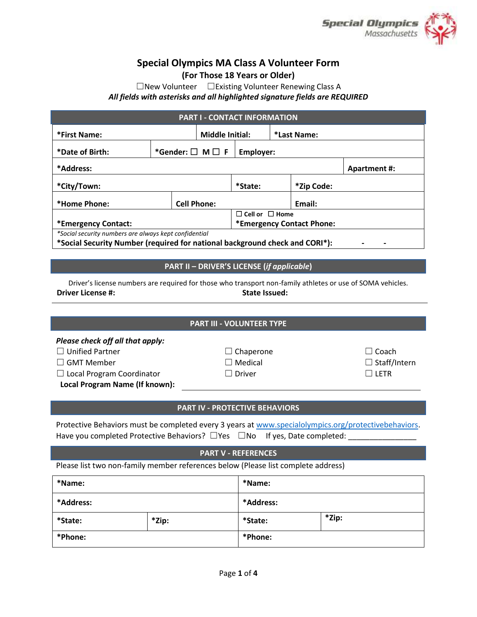

# **Special Olympics MA Class A Volunteer Form**

**(For Those 18 Years or Older)**

☐New Volunteer ☐Existing Volunteer Renewing Class A *All fields with asterisks and all highlighted signature fields are REQUIRED*

| <b>PART I - CONTACT INFORMATION</b>                                         |                            |  |                            |        |            |  |  |  |
|-----------------------------------------------------------------------------|----------------------------|--|----------------------------|--------|------------|--|--|--|
| <b>Middle Initial:</b><br>*First Name:                                      |                            |  | *Last Name:                |        |            |  |  |  |
| *Date of Birth:                                                             | *Gender: $\Box$ M $\Box$ F |  | Employer:                  |        |            |  |  |  |
| *Address:<br><b>Apartment #:</b>                                            |                            |  |                            |        |            |  |  |  |
| *City/Town:                                                                 |                            |  | *State:                    |        | *Zip Code: |  |  |  |
| *Home Phone:                                                                | <b>Cell Phone:</b>         |  |                            | Email: |            |  |  |  |
|                                                                             |                            |  | $\Box$ Cell or $\Box$ Home |        |            |  |  |  |
| *Emergency Contact:                                                         |                            |  | *Emergency Contact Phone:  |        |            |  |  |  |
| *Social security numbers are always kept confidential                       |                            |  |                            |        |            |  |  |  |
| *Social Security Number (required for national background check and CORI*): |                            |  |                            |        |            |  |  |  |

# **PART II – DRIVER'S LICENSE (***if applicable***)**

Driver's license numbers are required for those who transport non-family athletes or use of SOMA vehicles. **Driver License #: State Issued: State Issued: State Issued: State Issued:** 

# **PART III - VOLUNTEER TYPE**

# *Please check off all that apply:*

☐ Unified Partner ☐ Chaperone ☐ Coach

☐ GMT Member ☐ Medical ☐ Staff/Intern

☐ Local Program Coordinator ☐ Driver ☐ LETR

**Local Program Name (If known):**

# **PART IV - PROTECTIVE BEHAVIORS**

Protective Behaviors must be completed every 3 years at [www.specialolympics.org/protectivebehaviors.](http://www.specialolympics.org/protectivebehaviors) Have you completed Protective Behaviors?  $\Box$  Yes  $\Box$  No If yes, Date completed:

#### **PART V - REFERENCES**

Please list two non-family member references below (Please list complete address)

| *Name:    |       | *Name:    |       |  |  |
|-----------|-------|-----------|-------|--|--|
| *Address: |       | *Address: |       |  |  |
| *State:   | *Zip: | *State:   | *Zip: |  |  |
| *Phone:   |       | *Phone:   |       |  |  |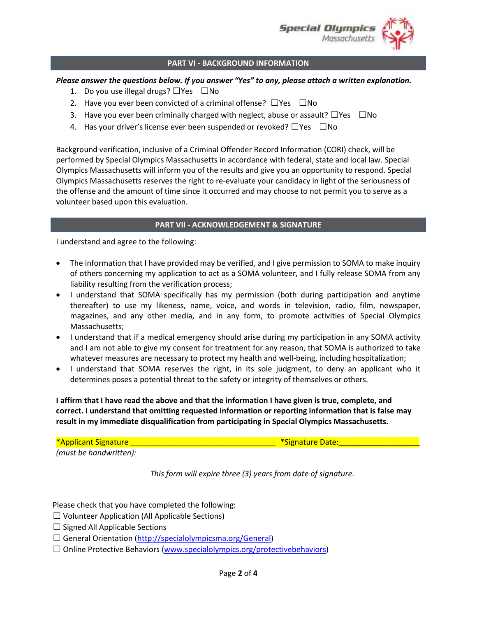

#### **PART VI - BACKGROUND INFORMATION**

#### *Please answer the questions below. If you answer "Yes" to any, please attach a written explanation.*

- 1. Do you use illegal drugs?  $\Box$ Yes  $\Box$ No
- 2. Have you ever been convicted of a criminal offense?  $\square$ Yes  $\square$ No
- 3. Have you ever been criminally charged with neglect, abuse or assault?  $\Box$ Yes  $\Box$ No
- 4. Has your driver's license ever been suspended or revoked?  $\Box$ Yes  $\Box$ No

Background verification, inclusive of a Criminal Offender Record Information (CORI) check, will be performed by Special Olympics Massachusetts in accordance with federal, state and local law. Special Olympics Massachusetts will inform you of the results and give you an opportunity to respond. Special Olympics Massachusetts reserves the right to re-evaluate your candidacy in light of the seriousness of the offense and the amount of time since it occurred and may choose to not permit you to serve as a volunteer based upon this evaluation.

#### **PART VII - ACKNOWLEDGEMENT & SIGNATURE**

I understand and agree to the following:

- The information that I have provided may be verified, and I give permission to SOMA to make inquiry of others concerning my application to act as a SOMA volunteer, and I fully release SOMA from any liability resulting from the verification process;
- I understand that SOMA specifically has my permission (both during participation and anytime thereafter) to use my likeness, name, voice, and words in television, radio, film, newspaper, magazines, and any other media, and in any form, to promote activities of Special Olympics Massachusetts;
- I understand that if a medical emergency should arise during my participation in any SOMA activity and I am not able to give my consent for treatment for any reason, that SOMA is authorized to take whatever measures are necessary to protect my health and well-being, including hospitalization;
- I understand that SOMA reserves the right, in its sole judgment, to deny an applicant who it determines poses a potential threat to the safety or integrity of themselves or others.

**I affirm that I have read the above and that the information I have given is true, complete, and correct. I understand that omitting requested information or reporting information that is false may result in my immediate disqualification from participating in Special Olympics Massachusetts.**

\*Applicant Signature \_\_\_\_\_\_\_\_\_\_\_\_\_\_\_\_\_\_\_\_\_\_\_\_\_\_\_\_\_\_\_\_\_\_ \*Signature Date:**\_\_\_\_\_\_\_\_\_\_\_\_\_\_\_\_\_\_\_**

*(must be handwritten):*

*This form will expire three (3) years from date of signature.*

Please check that you have completed the following:

- $\Box$  Volunteer Application (All Applicable Sections)
- $\Box$  Signed All Applicable Sections
- $\Box$  General Orientation (http://specialolympicsma.org/General)
- $\Box$  Online Protective Behaviors [\(www.specialolympics.org/protectivebehaviors\)](http://www.specialolympics.org/protectivebehaviors)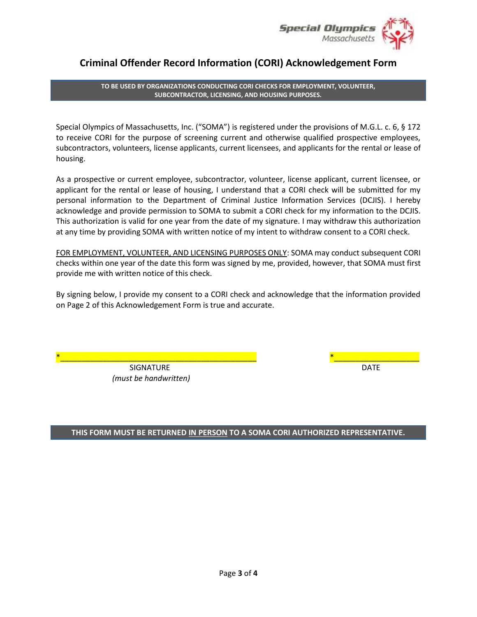

# **Criminal Offender Record Information (CORI) Acknowledgement Form**

**TO BE USED BY ORGANIZATIONS CONDUCTING CORI CHECKS FOR EMPLOYMENT, VOLUNTEER, SUBCONTRACTOR, LICENSING, AND HOUSING PURPOSES.**

Special Olympics of Massachusetts, Inc. ("SOMA") is registered under the provisions of M.G.L. c. 6, § 172 to receive CORI for the purpose of screening current and otherwise qualified prospective employees, subcontractors, volunteers, license applicants, current licensees, and applicants for the rental or lease of housing.

As a prospective or current employee, subcontractor, volunteer, license applicant, current licensee, or applicant for the rental or lease of housing, I understand that a CORI check will be submitted for my personal information to the Department of Criminal Justice Information Services (DCJIS). I hereby acknowledge and provide permission to SOMA to submit a CORI check for my information to the DCJIS. This authorization is valid for one year from the date of my signature. I may withdraw this authorization at any time by providing SOMA with written notice of my intent to withdraw consent to a CORI check.

FOR EMPLOYMENT, VOLUNTEER, AND LICENSING PURPOSES ONLY: SOMA may conduct subsequent CORI checks within one year of the date this form was signed by me, provided, however, that SOMA must first provide me with written notice of this check.

By signing below, I provide my consent to a CORI check and acknowledge that the information provided on Page 2 of this Acknowledgement Form is true and accurate.

> SIGNATURE DATE *(must be handwritten)*

\*\_\_\_\_\_\_\_\_\_\_\_\_\_\_\_\_\_\_\_\_\_\_\_\_\_\_\_\_\_\_\_\_\_\_\_\_\_\_\_\_\_\_\_\_\_\_ \*\_\_\_\_\_\_\_\_\_\_\_\_\_\_\_\_\_\_\_\_

# **THIS FORM MUST BE RETURNED IN PERSON TO A SOMA CORI AUTHORIZED REPRESENTATIVE.**